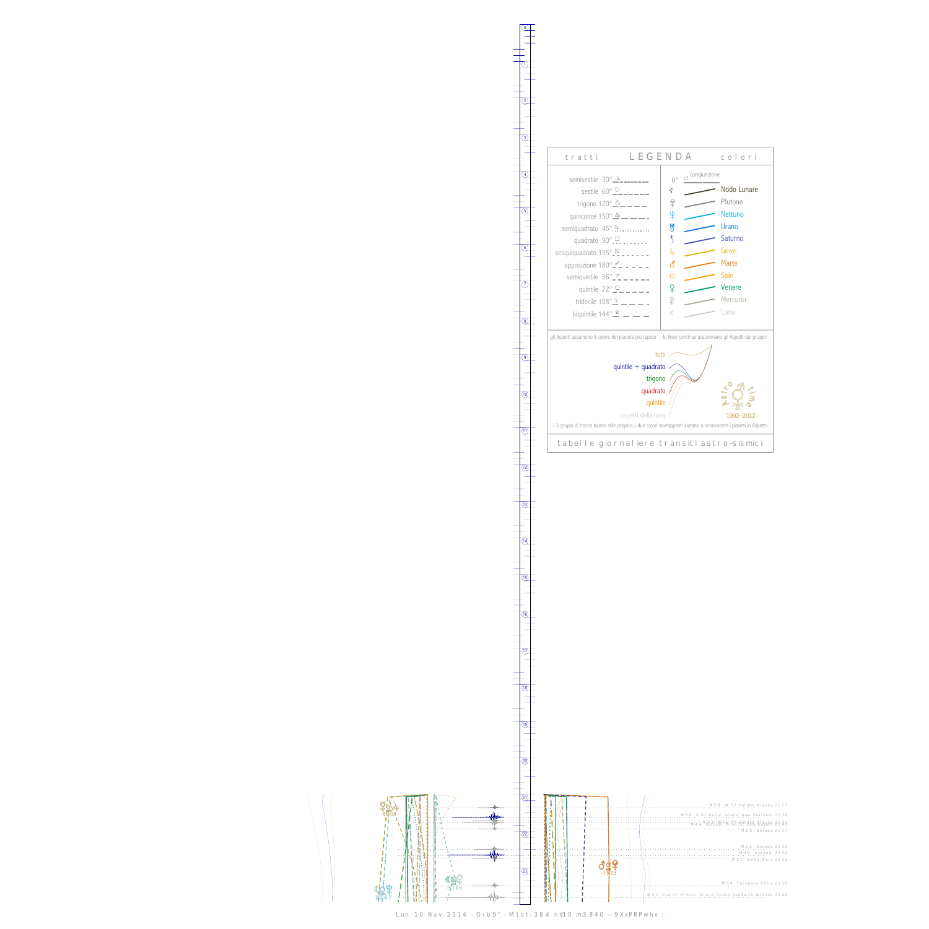$\mathbb{I}$